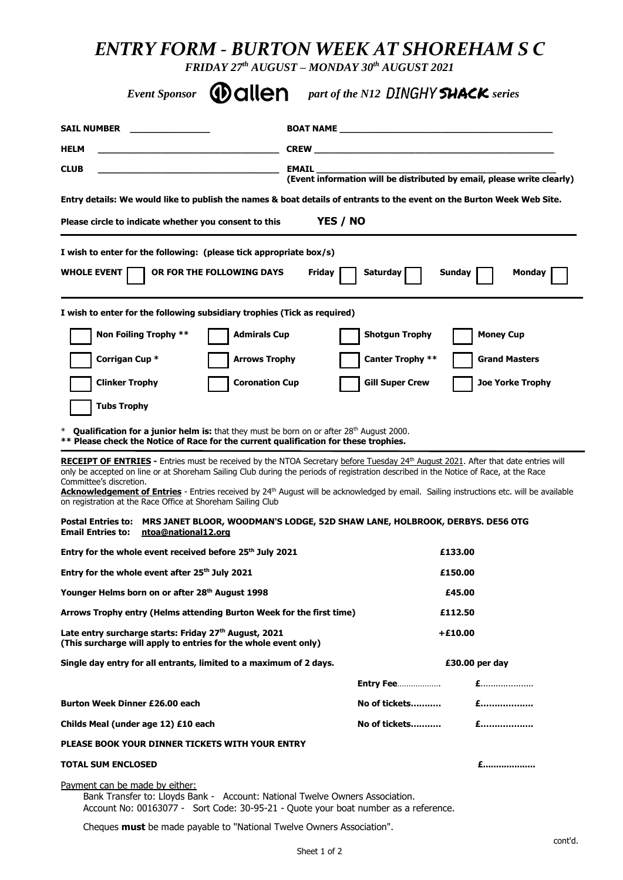# *ENTRY FORM - BURTON WEEK AT SHOREHAM S C*

*FRIDAY 27 th AUGUST – MONDAY 30 th AUGUST 2021*

| <b>Event Sponsor</b><br><b>Wallen</b>                                                                                                                                                                 | part of the N12 DINGHY <b>SHACK</b> series                                                                                                                                                                                                                                                                                                                                                                                                   |  |  |
|-------------------------------------------------------------------------------------------------------------------------------------------------------------------------------------------------------|----------------------------------------------------------------------------------------------------------------------------------------------------------------------------------------------------------------------------------------------------------------------------------------------------------------------------------------------------------------------------------------------------------------------------------------------|--|--|
| <b>SAIL NUMBER</b>                                                                                                                                                                                    | <b>BOAT NAME EXECUTIVE STATE</b>                                                                                                                                                                                                                                                                                                                                                                                                             |  |  |
| <b>HELM</b>                                                                                                                                                                                           | <b>CREW CREW</b>                                                                                                                                                                                                                                                                                                                                                                                                                             |  |  |
| <b>CLUB</b>                                                                                                                                                                                           | <b>EMAIL</b><br>(Event information will be distributed by email, please write clearly)                                                                                                                                                                                                                                                                                                                                                       |  |  |
|                                                                                                                                                                                                       | Entry details: We would like to publish the names & boat details of entrants to the event on the Burton Week Web Site.                                                                                                                                                                                                                                                                                                                       |  |  |
| Please circle to indicate whether you consent to this                                                                                                                                                 | YES / NO                                                                                                                                                                                                                                                                                                                                                                                                                                     |  |  |
| I wish to enter for the following: (please tick appropriate box/s)                                                                                                                                    |                                                                                                                                                                                                                                                                                                                                                                                                                                              |  |  |
| <b>WHOLE EVENT</b><br>OR FOR THE FOLLOWING DAYS                                                                                                                                                       | <b>Friday</b><br>Saturday<br>Sunday<br><b>Monday</b>                                                                                                                                                                                                                                                                                                                                                                                         |  |  |
| I wish to enter for the following subsidiary trophies (Tick as required)                                                                                                                              |                                                                                                                                                                                                                                                                                                                                                                                                                                              |  |  |
| Non Foiling Trophy **<br><b>Admirals Cup</b><br><b>Shotgun Trophy</b><br><b>Money Cup</b>                                                                                                             |                                                                                                                                                                                                                                                                                                                                                                                                                                              |  |  |
| Corrigan Cup *<br><b>Arrows Trophy</b>                                                                                                                                                                | <b>Canter Trophy **</b><br><b>Grand Masters</b>                                                                                                                                                                                                                                                                                                                                                                                              |  |  |
| <b>Coronation Cup</b><br><b>Clinker Trophy</b>                                                                                                                                                        | <b>Gill Super Crew</b><br><b>Joe Yorke Trophy</b>                                                                                                                                                                                                                                                                                                                                                                                            |  |  |
| <b>Tubs Trophy</b>                                                                                                                                                                                    |                                                                                                                                                                                                                                                                                                                                                                                                                                              |  |  |
| <b>Qualification for a junior helm is:</b> that they must be born on or after $28th$ August 2000.<br>** Please check the Notice of Race for the current qualification for these trophies.             |                                                                                                                                                                                                                                                                                                                                                                                                                                              |  |  |
| Committee's discretion.<br>on registration at the Race Office at Shoreham Sailing Club                                                                                                                | RECEIPT OF ENTRIES - Entries must be received by the NTOA Secretary before Tuesday 24 <sup>th</sup> August 2021. After that date entries will<br>only be accepted on line or at Shoreham Sailing Club during the periods of registration described in the Notice of Race, at the Race<br>Acknowledgement of Entries - Entries received by 24 <sup>th</sup> August will be acknowledged by email. Sailing instructions etc. will be available |  |  |
| <b>Postal Entries to:</b><br><b>Email Entries to:</b><br>ntoa@national12.org                                                                                                                          | MRS JANET BLOOR, WOODMAN'S LODGE, 52D SHAW LANE, HOLBROOK, DERBYS. DE56 OTG                                                                                                                                                                                                                                                                                                                                                                  |  |  |
| Entry for the whole event received before 25 <sup>th</sup> July 2021                                                                                                                                  | £133.00                                                                                                                                                                                                                                                                                                                                                                                                                                      |  |  |
| Entry for the whole event after 25 <sup>th</sup> July 2021                                                                                                                                            | £150.00                                                                                                                                                                                                                                                                                                                                                                                                                                      |  |  |
| Younger Helms born on or after 28th August 1998                                                                                                                                                       | £45.00                                                                                                                                                                                                                                                                                                                                                                                                                                       |  |  |
| Arrows Trophy entry (Helms attending Burton Week for the first time)<br>£112.50                                                                                                                       |                                                                                                                                                                                                                                                                                                                                                                                                                                              |  |  |
| Late entry surcharge starts: Friday 27th August, 2021<br>$+£10.00$<br>(This surcharge will apply to entries for the whole event only)                                                                 |                                                                                                                                                                                                                                                                                                                                                                                                                                              |  |  |
| Single day entry for all entrants, limited to a maximum of 2 days.                                                                                                                                    | £30.00 per day                                                                                                                                                                                                                                                                                                                                                                                                                               |  |  |
|                                                                                                                                                                                                       | $E$<br><b>Entry Fee</b>                                                                                                                                                                                                                                                                                                                                                                                                                      |  |  |
| Burton Week Dinner £26.00 each                                                                                                                                                                        | $f$<br>No of tickets                                                                                                                                                                                                                                                                                                                                                                                                                         |  |  |
| Childs Meal (under age 12) £10 each                                                                                                                                                                   | $E$<br>No of tickets                                                                                                                                                                                                                                                                                                                                                                                                                         |  |  |
| PLEASE BOOK YOUR DINNER TICKETS WITH YOUR ENTRY                                                                                                                                                       |                                                                                                                                                                                                                                                                                                                                                                                                                                              |  |  |
| <b>TOTAL SUM ENCLOSED</b>                                                                                                                                                                             | £                                                                                                                                                                                                                                                                                                                                                                                                                                            |  |  |
| Payment can be made by either:<br>Bank Transfer to: Lloyds Bank - Account: National Twelve Owners Association.<br>Account No: 00163077 - Sort Code: 30-95-21 - Quote your boat number as a reference. |                                                                                                                                                                                                                                                                                                                                                                                                                                              |  |  |
| Cheques must be made payable to "National Twelve Owners Association".                                                                                                                                 |                                                                                                                                                                                                                                                                                                                                                                                                                                              |  |  |